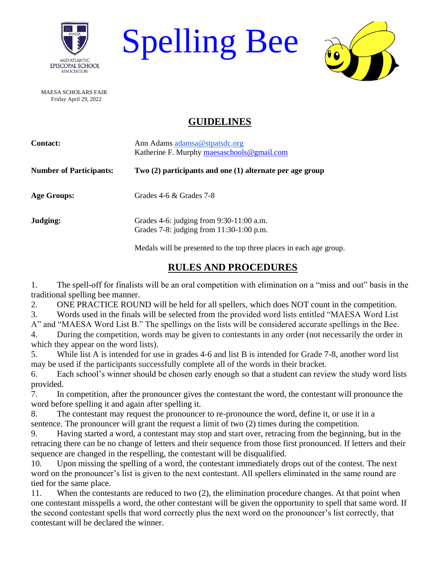

Spelling Bee



 MAESA SCHOLARS FAIR Friday April 29, 2022

## **GUIDELINES**

| <b>Contact:</b>                | Ann Adams adamsa@stpatsdc.org<br>Katherine F. Murphy maesaschools@gmail.com              |
|--------------------------------|------------------------------------------------------------------------------------------|
| <b>Number of Participants:</b> | Two (2) participants and one (1) alternate per age group                                 |
| <b>Age Groups:</b>             | Grades $4-6 &$ Grades $7-8$                                                              |
| Judging:                       | Grades 4-6: judging from $9:30-11:00$ a.m.<br>Grades 7-8: judging from $11:30-1:00$ p.m. |
|                                | Medals will be presented to the top three places in each age group.                      |

## **RULES AND PROCEDURES**

1. The spell-off for finalists will be an oral competition with elimination on a "miss and out" basis in the traditional spelling bee manner.

2. ONE PRACTICE ROUND will be held for all spellers, which does NOT count in the competition.

3. Words used in the finals will be selected from the provided word lists entitled "MAESA Word List A" and "MAESA Word List B." The spellings on the lists will be considered accurate spellings in the Bee.

4. During the competition, words may be given to contestants in any order (not necessarily the order in which they appear on the word lists).

5. While list A is intended for use in grades 4-6 and list B is intended for Grade 7-8, another word list may be used if the participants successfully complete all of the words in their bracket.

6. Each school's winner should be chosen early enough so that a student can review the study word lists provided.

7. In competition, after the pronouncer gives the contestant the word, the contestant will pronounce the word before spelling it and again after spelling it.

8. The contestant may request the pronouncer to re-pronounce the word, define it, or use it in a sentence. The pronouncer will grant the request a limit of two (2) times during the competition.

9. Having started a word, a contestant may stop and start over, retracing from the beginning, but in the retracing there can be no change of letters and their sequence from those first pronounced. If letters and their sequence are changed in the respelling, the contestant will be disqualified.

10. Upon missing the spelling of a word, the contestant immediately drops out of the contest. The next word on the pronouncer's list is given to the next contestant. All spellers eliminated in the same round are tied for the same place.

11. When the contestants are reduced to two (2), the elimination procedure changes. At that point when one contestant misspells a word, the other contestant will be given the opportunity to spell that same word. If the second contestant spells that word correctly plus the next word on the pronouncer's list correctly, that contestant will be declared the winner.